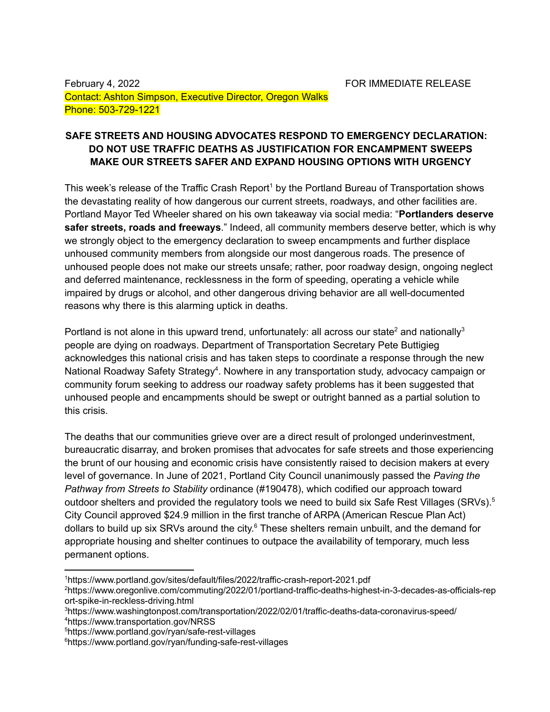February 4, 2022 **For all Accord FOR IMMEDIATE RELEASE** Contact: Ashton Simpson, Executive Director, Oregon Walks Phone: 503-729-1221

## **SAFE STREETS AND HOUSING ADVOCATES RESPOND TO EMERGENCY DECLARATION: DO NOT USE TRAFFIC DEATHS AS JUSTIFICATION FOR ENCAMPMENT SWEEPS MAKE OUR STREETS SAFER AND EXPAND HOUSING OPTIONS WITH URGENCY**

This week's release of the Traffic Crash Report<sup>1</sup> by the Portland Bureau of Transportation shows the devastating reality of how dangerous our current streets, roadways, and other facilities are. Portland Mayor Ted Wheeler shared on his own takeaway via social media: "**Portlanders deserve safer streets, roads and freeways**." Indeed, all community members deserve better, which is why we strongly object to the emergency declaration to sweep encampments and further displace unhoused community members from alongside our most dangerous roads. The presence of unhoused people does not make our streets unsafe; rather, poor roadway design, ongoing neglect and deferred maintenance, recklessness in the form of speeding, operating a vehicle while impaired by drugs or alcohol, and other dangerous driving behavior are all well-documented reasons why there is this alarming uptick in deaths.

Portland is not alone in this upward trend, unfortunately: all across our state<sup>2</sup> and nationally<sup>3</sup> people are dying on roadways. Department of Transportation Secretary Pete Buttigieg acknowledges this national crisis and has taken steps to coordinate a response through the new National Roadway Safety Strategy<sup>4</sup>. Nowhere in any transportation study, advocacy campaign or community forum seeking to address our roadway safety problems has it been suggested that unhoused people and encampments should be swept or outright banned as a partial solution to this crisis.

The deaths that our communities grieve over are a direct result of prolonged underinvestment, bureaucratic disarray, and broken promises that advocates for safe streets and those experiencing the brunt of our housing and economic crisis have consistently raised to decision makers at every level of governance. In June of 2021, Portland City Council unanimously passed the *Paving the Pathway from Streets to Stability* [ordinance](https://www.portland.gov/council/documents/ordinance/passed/190478) (#190478), which codified our approach toward outdoor shelters and provided the regulatory tools we need to build six Safe Rest Villages (SRVs).<sup>5</sup> City Council approved \$24.9 million in the first tranche of ARPA (American Rescue Plan Act) dollars to build up six SRVs around the city.<sup>6</sup> These shelters remain unbuilt, and the demand for appropriate housing and shelter continues to outpace the availability of temporary, much less permanent options.

<sup>1</sup>https://www.portland.gov/sites/default/files/2022/traffic-crash-report-2021.pdf

<sup>2</sup>https://www.oregonlive.com/commuting/2022/01/portland-traffic-deaths-highest-in-3-decades-as-officials-rep ort-spike-in-reckless-driving.html

<sup>4</sup>https://www.transportation.gov/NRSS <sup>3</sup>https://www.washingtonpost.com/transportation/2022/02/01/traffic-deaths-data-coronavirus-speed/

<sup>5</sup>https://www.portland.gov/ryan/safe-rest-villages

<sup>6</sup>https://www.portland.gov/ryan/funding-safe-rest-villages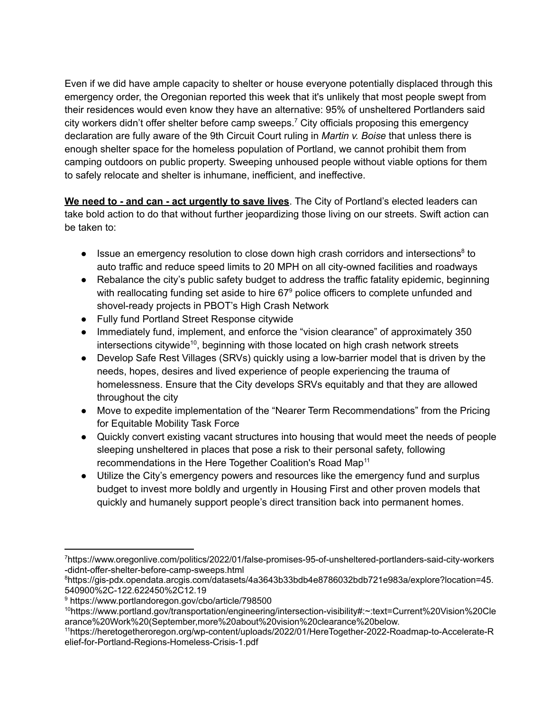Even if we did have ample capacity to shelter or house everyone potentially displaced through this emergency order, the Oregonian reported this week that it's unlikely that most people swept from their residences would even know they have an alternative: 95% of unsheltered Portlanders said city workers didn't offer shelter before camp sweeps. <sup>7</sup> City officials proposing this emergency declaration are fully aware of the 9th Circuit Court ruling in *Martin v. Boise* that unless there is enough shelter space for the homeless population of Portland, we cannot prohibit them from camping outdoors on public property. Sweeping unhoused people without viable options for them to safely relocate and shelter is inhumane, inefficient, and ineffective.

**We need to - and can - act urgently to save lives**. The City of Portland's elected leaders can take bold action to do that without further jeopardizing those living on our streets. Swift action can be taken to:

- Issue an emergency resolution to close down high crash corridors and intersections<sup>8</sup> to auto traffic and reduce speed limits to 20 MPH on all city-owned facilities and roadways
- Rebalance the city's public safety budget to address the traffic fatality epidemic, beginning with reallocating funding set aside to hire  $67^{\circ}$  police officers to complete unfunded and shovel-ready projects in PBOT's High Crash Network
- Fully fund Portland Street Response citywide
- Immediately fund, implement, and enforce the "vision clearance" of approximately 350 intersections citywide<sup>10</sup>, beginning with those located on high crash network streets
- Develop Safe Rest Villages (SRVs) quickly using a low-barrier model that is driven by the needs, hopes, desires and lived experience of people experiencing the trauma of homelessness. Ensure that the City develops SRVs equitably and that they are allowed throughout the city
- Move to expedite implementation of the "Nearer Term Recommendations" from the Pricing for Equitable Mobility Task Force
- Quickly convert existing vacant structures into housing that would meet the needs of people sleeping unsheltered in places that pose a risk to their personal safety, following recommendations in the Here Together Coalition's Road Map<sup>11</sup>
- Utilize the City's emergency powers and resources like the emergency fund and surplus budget to invest more boldly and urgently in Housing First and other proven models that quickly and humanely support people's direct transition back into permanent homes.

<sup>7</sup>https://www.oregonlive.com/politics/2022/01/false-promises-95-of-unsheltered-portlanders-said-city-workers -didnt-offer-shelter-before-camp-sweeps.html

<sup>8</sup>https://gis-pdx.opendata.arcgis.com/datasets/4a3643b33bdb4e8786032bdb721e983a/explore?location=45. 540900%2C-122.622450%2C12.19

<sup>9</sup> https://www.portlandoregon.gov/cbo/article/798500

<sup>10</sup>https://www.portland.gov/transportation/engineering/intersection-visibility#:~:text=Current%20Vision%20Cle arance%20Work%20(September,more%20about%20vision%20clearance%20below.

<sup>11</sup>[https://heretogetheroregon.org/wp-content/uploads/2022/01/HereTogether-2022-Roadmap-to-Accelerate-R](https://heretogetheroregon.org/wp-content/uploads/2022/01/HereTogether-2022-Roadmap-to-Accelerate-Relief-for-Portland-Regions-Homeless-Crisis-1.pdf) [elief-for-Portland-Regions-Homeless-Crisis-1.pdf](https://heretogetheroregon.org/wp-content/uploads/2022/01/HereTogether-2022-Roadmap-to-Accelerate-Relief-for-Portland-Regions-Homeless-Crisis-1.pdf)